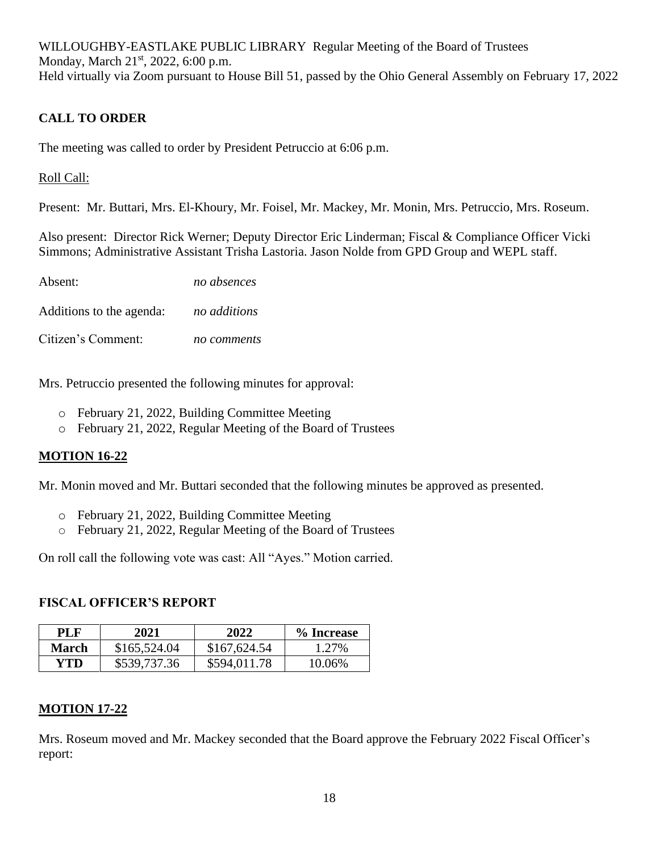WILLOUGHBY-EASTLAKE PUBLIC LIBRARY Regular Meeting of the Board of Trustees Monday, March 21<sup>st</sup>, 2022, 6:00 p.m. Held virtually via Zoom pursuant to House Bill 51, passed by the Ohio General Assembly on February 17, 2022

## **CALL TO ORDER**

The meeting was called to order by President Petruccio at 6:06 p.m.

Roll Call:

Present: Mr. Buttari, Mrs. El-Khoury, Mr. Foisel, Mr. Mackey, Mr. Monin, Mrs. Petruccio, Mrs. Roseum.

Also present: Director Rick Werner; Deputy Director Eric Linderman; Fiscal & Compliance Officer Vicki Simmons; Administrative Assistant Trisha Lastoria. Jason Nolde from GPD Group and WEPL staff.

Absent: *no absences*

Additions to the agenda: *no additions*

Citizen's Comment: *no comments*

Mrs. Petruccio presented the following minutes for approval:

- o February 21, 2022, Building Committee Meeting
- o February 21, 2022, Regular Meeting of the Board of Trustees

## **MOTION 16-22**

Mr. Monin moved and Mr. Buttari seconded that the following minutes be approved as presented.

- o February 21, 2022, Building Committee Meeting
- o February 21, 2022, Regular Meeting of the Board of Trustees

On roll call the following vote was cast: All "Ayes." Motion carried.

### **FISCAL OFFICER'S REPORT**

| PL F  | 2021         | 2022         | % Increase |
|-------|--------------|--------------|------------|
| March | \$165,524.04 | \$167,624.54 | 1.27%      |
| YTD   | \$539,737.36 | \$594,011.78 | 10.06%     |

### **MOTION 17-22**

Mrs. Roseum moved and Mr. Mackey seconded that the Board approve the February 2022 Fiscal Officer's report: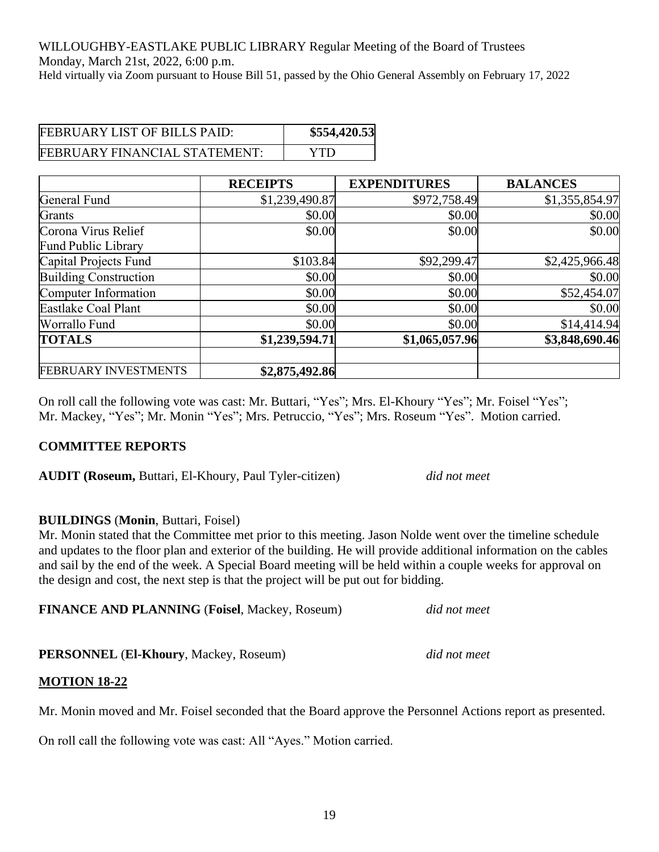WILLOUGHBY-EASTLAKE PUBLIC LIBRARY Regular Meeting of the Board of Trustees Monday, March 21st, 2022, 6:00 p.m.

Held virtually via Zoom pursuant to House Bill 51, passed by the Ohio General Assembly on February 17, 2022

| <b>FEBRUARY LIST OF BILLS PAID:</b>  | \$554,420.53 |
|--------------------------------------|--------------|
| <b>FEBRUARY FINANCIAL STATEMENT:</b> | VTD          |

|                              | <b>RECEIPTS</b> | <b>EXPENDITURES</b> | <b>BALANCES</b> |
|------------------------------|-----------------|---------------------|-----------------|
| General Fund                 | \$1,239,490.87  | \$972,758.49        | \$1,355,854.97  |
| Grants                       | \$0.00          | \$0.00              | \$0.00          |
| Corona Virus Relief          | \$0.00          | \$0.00              | \$0.00          |
| <b>Fund Public Library</b>   |                 |                     |                 |
| Capital Projects Fund        | \$103.84        | \$92,299.47         | \$2,425,966.48  |
| <b>Building Construction</b> | \$0.00          | \$0.00              | \$0.00          |
| Computer Information         | \$0.00          | \$0.00              | \$52,454.07     |
| <b>Eastlake Coal Plant</b>   | \$0.00          | \$0.00              | \$0.00          |
| Worrallo Fund                | \$0.00          | \$0.00              | \$14,414.94     |
| <b>TOTALS</b>                | \$1,239,594.71  | \$1,065,057.96      | \$3,848,690.46  |
| <b>FEBRUARY INVESTMENTS</b>  | \$2,875,492.86  |                     |                 |

On roll call the following vote was cast: Mr. Buttari, "Yes"; Mrs. El-Khoury "Yes"; Mr. Foisel "Yes"; Mr. Mackey, "Yes"; Mr. Monin "Yes"; Mrs. Petruccio, "Yes"; Mrs. Roseum "Yes". Motion carried.

## **COMMITTEE REPORTS**

**AUDIT (Roseum,** Buttari, El-Khoury, Paul Tyler-citizen) *did not meet*

**BUILDINGS** (**Monin**, Buttari, Foisel)

Mr. Monin stated that the Committee met prior to this meeting. Jason Nolde went over the timeline schedule and updates to the floor plan and exterior of the building. He will provide additional information on the cables and sail by the end of the week. A Special Board meeting will be held within a couple weeks for approval on the design and cost, the next step is that the project will be put out for bidding.

**FINANCE AND PLANNING** (**Foisel**, Mackey, Roseum) *did not meet*

**PERSONNEL** (**El-Khoury**, Mackey, Roseum) *did not meet*

**MOTION 18-22**

Mr. Monin moved and Mr. Foisel seconded that the Board approve the Personnel Actions report as presented.

On roll call the following vote was cast: All "Ayes." Motion carried.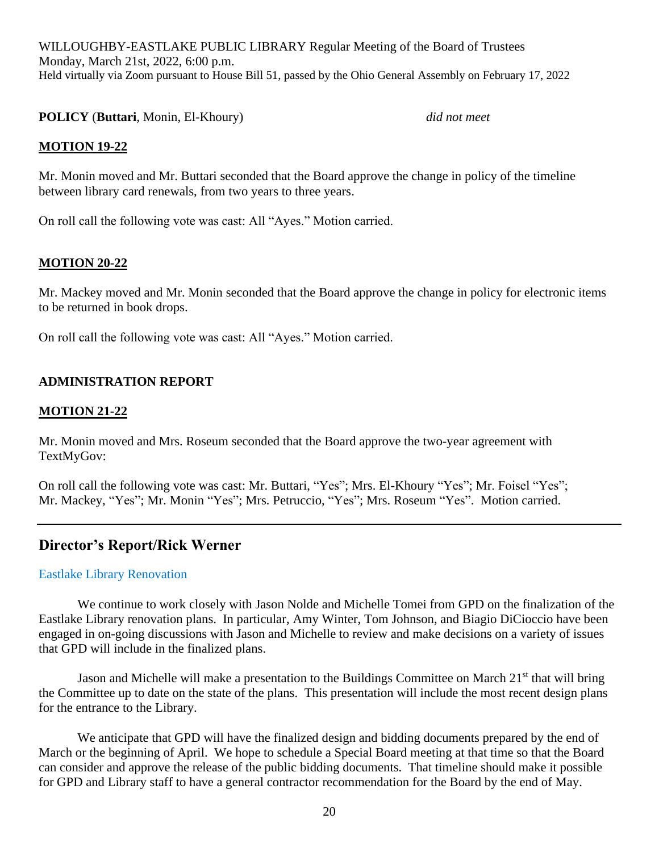WILLOUGHBY-EASTLAKE PUBLIC LIBRARY Regular Meeting of the Board of Trustees Monday, March 21st, 2022, 6:00 p.m. Held virtually via Zoom pursuant to House Bill 51, passed by the Ohio General Assembly on February 17, 2022

**POLICY** (**Buttari**, Monin, El-Khoury) *did not meet*

### **MOTION 19-22**

Mr. Monin moved and Mr. Buttari seconded that the Board approve the change in policy of the timeline between library card renewals, from two years to three years.

On roll call the following vote was cast: All "Ayes." Motion carried.

### **MOTION 20-22**

Mr. Mackey moved and Mr. Monin seconded that the Board approve the change in policy for electronic items to be returned in book drops.

On roll call the following vote was cast: All "Ayes." Motion carried.

### **ADMINISTRATION REPORT**

### **MOTION 21-22**

Mr. Monin moved and Mrs. Roseum seconded that the Board approve the two-year agreement with TextMyGov:

On roll call the following vote was cast: Mr. Buttari, "Yes"; Mrs. El-Khoury "Yes"; Mr. Foisel "Yes"; Mr. Mackey, "Yes"; Mr. Monin "Yes"; Mrs. Petruccio, "Yes"; Mrs. Roseum "Yes". Motion carried.

## **Director's Report/Rick Werner**

### Eastlake Library Renovation

We continue to work closely with Jason Nolde and Michelle Tomei from GPD on the finalization of the Eastlake Library renovation plans. In particular, Amy Winter, Tom Johnson, and Biagio DiCioccio have been engaged in on-going discussions with Jason and Michelle to review and make decisions on a variety of issues that GPD will include in the finalized plans.

Jason and Michelle will make a presentation to the Buildings Committee on March 21<sup>st</sup> that will bring the Committee up to date on the state of the plans. This presentation will include the most recent design plans for the entrance to the Library.

We anticipate that GPD will have the finalized design and bidding documents prepared by the end of March or the beginning of April. We hope to schedule a Special Board meeting at that time so that the Board can consider and approve the release of the public bidding documents. That timeline should make it possible for GPD and Library staff to have a general contractor recommendation for the Board by the end of May.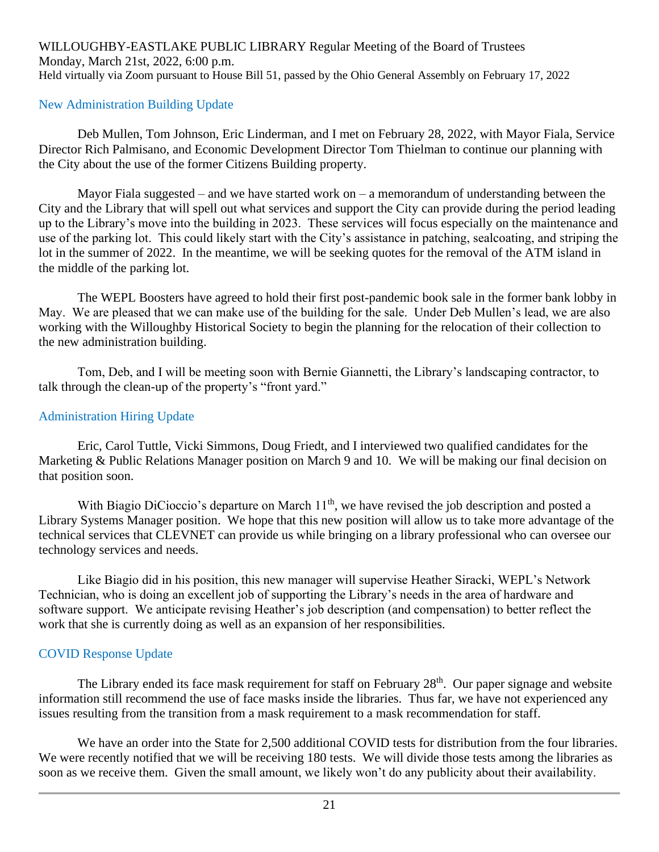WILLOUGHBY-EASTLAKE PUBLIC LIBRARY Regular Meeting of the Board of Trustees Monday, March 21st, 2022, 6:00 p.m. Held virtually via Zoom pursuant to House Bill 51, passed by the Ohio General Assembly on February 17, 2022

### New Administration Building Update

Deb Mullen, Tom Johnson, Eric Linderman, and I met on February 28, 2022, with Mayor Fiala, Service Director Rich Palmisano, and Economic Development Director Tom Thielman to continue our planning with the City about the use of the former Citizens Building property.

Mayor Fiala suggested – and we have started work on – a memorandum of understanding between the City and the Library that will spell out what services and support the City can provide during the period leading up to the Library's move into the building in 2023. These services will focus especially on the maintenance and use of the parking lot. This could likely start with the City's assistance in patching, sealcoating, and striping the lot in the summer of 2022. In the meantime, we will be seeking quotes for the removal of the ATM island in the middle of the parking lot.

The WEPL Boosters have agreed to hold their first post-pandemic book sale in the former bank lobby in May. We are pleased that we can make use of the building for the sale. Under Deb Mullen's lead, we are also working with the Willoughby Historical Society to begin the planning for the relocation of their collection to the new administration building.

Tom, Deb, and I will be meeting soon with Bernie Giannetti, the Library's landscaping contractor, to talk through the clean-up of the property's "front yard."

## Administration Hiring Update

Eric, Carol Tuttle, Vicki Simmons, Doug Friedt, and I interviewed two qualified candidates for the Marketing & Public Relations Manager position on March 9 and 10. We will be making our final decision on that position soon.

With Biagio DiCioccio's departure on March 11<sup>th</sup>, we have revised the job description and posted a Library Systems Manager position. We hope that this new position will allow us to take more advantage of the technical services that CLEVNET can provide us while bringing on a library professional who can oversee our technology services and needs.

Like Biagio did in his position, this new manager will supervise Heather Siracki, WEPL's Network Technician, who is doing an excellent job of supporting the Library's needs in the area of hardware and software support. We anticipate revising Heather's job description (and compensation) to better reflect the work that she is currently doing as well as an expansion of her responsibilities.

## COVID Response Update

The Library ended its face mask requirement for staff on February 28<sup>th</sup>. Our paper signage and website information still recommend the use of face masks inside the libraries. Thus far, we have not experienced any issues resulting from the transition from a mask requirement to a mask recommendation for staff.

We have an order into the State for 2,500 additional COVID tests for distribution from the four libraries. We were recently notified that we will be receiving 180 tests. We will divide those tests among the libraries as soon as we receive them. Given the small amount, we likely won't do any publicity about their availability.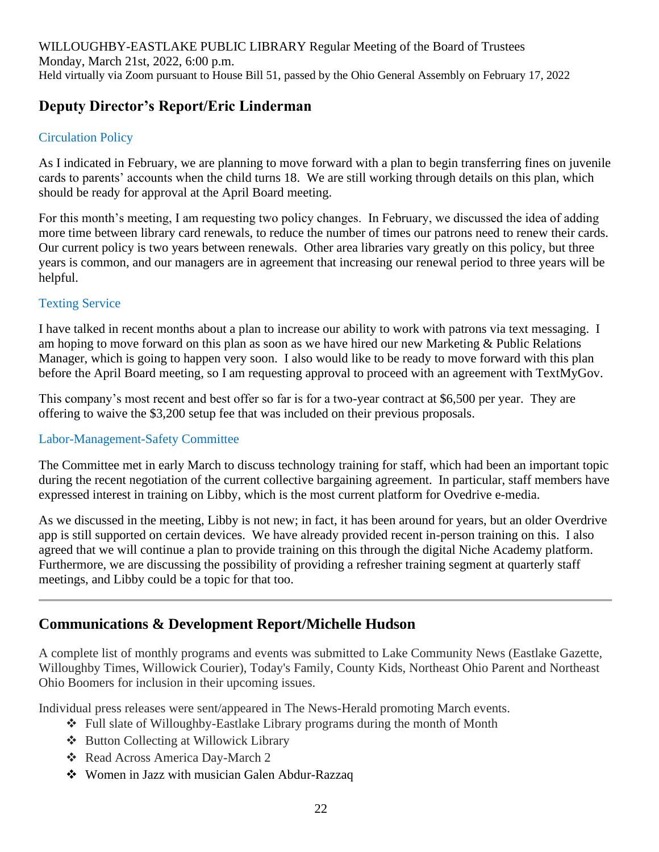WILLOUGHBY-EASTLAKE PUBLIC LIBRARY Regular Meeting of the Board of Trustees Monday, March 21st, 2022, 6:00 p.m. Held virtually via Zoom pursuant to House Bill 51, passed by the Ohio General Assembly on February 17, 2022

## **Deputy Director's Report/Eric Linderman**

## Circulation Policy

As I indicated in February, we are planning to move forward with a plan to begin transferring fines on juvenile cards to parents' accounts when the child turns 18. We are still working through details on this plan, which should be ready for approval at the April Board meeting.

For this month's meeting, I am requesting two policy changes. In February, we discussed the idea of adding more time between library card renewals, to reduce the number of times our patrons need to renew their cards. Our current policy is two years between renewals. Other area libraries vary greatly on this policy, but three years is common, and our managers are in agreement that increasing our renewal period to three years will be helpful.

## Texting Service

I have talked in recent months about a plan to increase our ability to work with patrons via text messaging. I am hoping to move forward on this plan as soon as we have hired our new Marketing & Public Relations Manager, which is going to happen very soon. I also would like to be ready to move forward with this plan before the April Board meeting, so I am requesting approval to proceed with an agreement with TextMyGov.

This company's most recent and best offer so far is for a two-year contract at \$6,500 per year. They are offering to waive the \$3,200 setup fee that was included on their previous proposals.

## Labor-Management-Safety Committee

The Committee met in early March to discuss technology training for staff, which had been an important topic during the recent negotiation of the current collective bargaining agreement. In particular, staff members have expressed interest in training on Libby, which is the most current platform for Ovedrive e-media.

As we discussed in the meeting, Libby is not new; in fact, it has been around for years, but an older Overdrive app is still supported on certain devices. We have already provided recent in-person training on this. I also agreed that we will continue a plan to provide training on this through the digital Niche Academy platform. Furthermore, we are discussing the possibility of providing a refresher training segment at quarterly staff meetings, and Libby could be a topic for that too.

# **Communications & Development Report/Michelle Hudson**

A complete list of monthly programs and events was submitted to Lake Community News (Eastlake Gazette, Willoughby Times, Willowick Courier), Today's Family, County Kids, Northeast Ohio Parent and Northeast Ohio Boomers for inclusion in their upcoming issues.

Individual press releases were sent/appeared in The News-Herald promoting March events.

- ❖ Full slate of Willoughby-Eastlake Library programs during the month of Month
- ❖ Button Collecting at Willowick Library
- ❖ Read Across America Day-March 2
- ❖ [Women in Jazz with musician Galen Abdur-Razzaq](https://www.news-herald.com/2022/02/25/eastlake-public-library-hosts-online-discussion-with-jazz-musician-galen-abdur-razzaq/)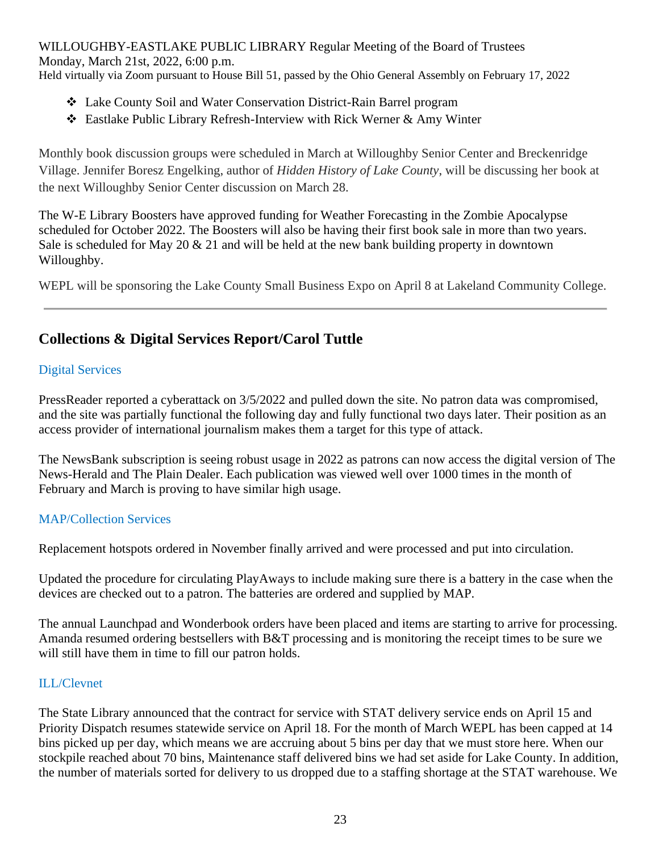WILLOUGHBY-EASTLAKE PUBLIC LIBRARY Regular Meeting of the Board of Trustees Monday, March 21st, 2022, 6:00 p.m.

Held virtually via Zoom pursuant to House Bill 51, passed by the Ohio General Assembly on February 17, 2022

- ❖ [Lake County Soil and Water Conservation District-Rain Barrel program](https://www.news-herald.com/2022/02/28/lake-county-soil-and-water-conservation-district-to-give-talk-on-rain-barrels/)
- ❖ [Eastlake Public Library Refresh-](https://www.news-herald.com/2022/02/24/eastlake-public-library-will-be-refreshed-by-2023/)Interview with Rick Werner & Amy Winter

Monthly book discussion groups were scheduled in March at Willoughby Senior Center and Breckenridge Village. Jennifer Boresz Engelking, author of *Hidden History of Lake County*, will be discussing her book at the next Willoughby Senior Center discussion on March 28.

The W-E Library Boosters have approved funding for Weather Forecasting in the Zombie Apocalypse scheduled for October 2022*.* The Boosters will also be having their first book sale in more than two years. Sale is scheduled for May 20  $\&$  21 and will be held at the new bank building property in downtown Willoughby.

WEPL will be sponsoring the Lake County Small Business Expo on April 8 at Lakeland Community College.

# **Collections & Digital Services Report/Carol Tuttle**

## Digital Services

PressReader reported a cyberattack on 3/5/2022 and pulled down the site. No patron data was compromised, and the site was partially functional the following day and fully functional two days later. Their position as an access provider of international journalism makes them a target for this type of attack.

The NewsBank subscription is seeing robust usage in 2022 as patrons can now access the digital version of The News-Herald and The Plain Dealer. Each publication was viewed well over 1000 times in the month of February and March is proving to have similar high usage.

## MAP/Collection Services

Replacement hotspots ordered in November finally arrived and were processed and put into circulation.

Updated the procedure for circulating PlayAways to include making sure there is a battery in the case when the devices are checked out to a patron. The batteries are ordered and supplied by MAP.

The annual Launchpad and Wonderbook orders have been placed and items are starting to arrive for processing. Amanda resumed ordering bestsellers with B&T processing and is monitoring the receipt times to be sure we will still have them in time to fill our patron holds.

## ILL/Clevnet

The State Library announced that the contract for service with STAT delivery service ends on April 15 and Priority Dispatch resumes statewide service on April 18. For the month of March WEPL has been capped at 14 bins picked up per day, which means we are accruing about 5 bins per day that we must store here. When our stockpile reached about 70 bins, Maintenance staff delivered bins we had set aside for Lake County. In addition, the number of materials sorted for delivery to us dropped due to a staffing shortage at the STAT warehouse. We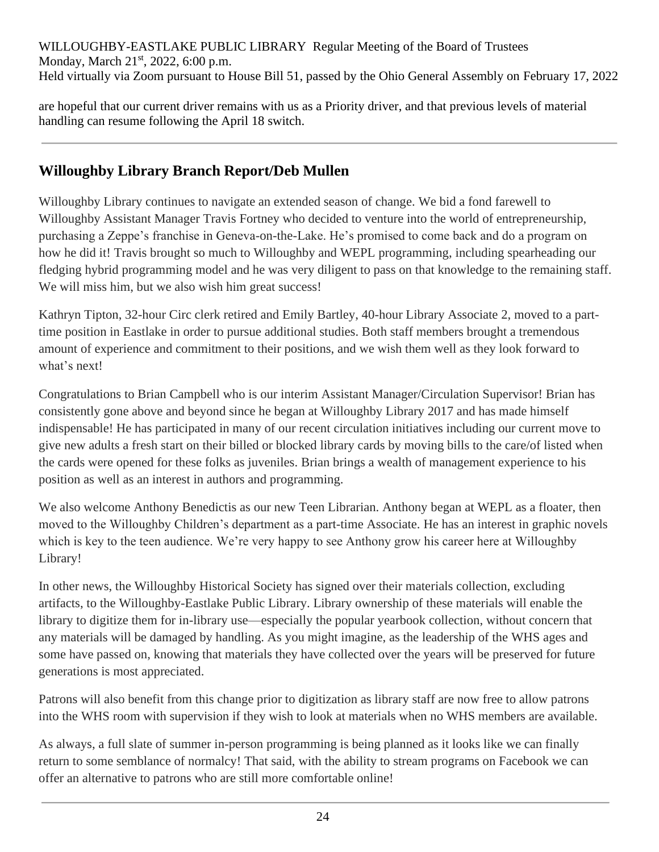are hopeful that our current driver remains with us as a Priority driver, and that previous levels of material handling can resume following the April 18 switch.

# **Willoughby Library Branch Report/Deb Mullen**

Willoughby Library continues to navigate an extended season of change. We bid a fond farewell to Willoughby Assistant Manager Travis Fortney who decided to venture into the world of entrepreneurship, purchasing a Zeppe's franchise in Geneva-on-the-Lake. He's promised to come back and do a program on how he did it! Travis brought so much to Willoughby and WEPL programming, including spearheading our fledging hybrid programming model and he was very diligent to pass on that knowledge to the remaining staff. We will miss him, but we also wish him great success!

Kathryn Tipton, 32-hour Circ clerk retired and Emily Bartley, 40-hour Library Associate 2, moved to a parttime position in Eastlake in order to pursue additional studies. Both staff members brought a tremendous amount of experience and commitment to their positions, and we wish them well as they look forward to what's next!

Congratulations to Brian Campbell who is our interim Assistant Manager/Circulation Supervisor! Brian has consistently gone above and beyond since he began at Willoughby Library 2017 and has made himself indispensable! He has participated in many of our recent circulation initiatives including our current move to give new adults a fresh start on their billed or blocked library cards by moving bills to the care/of listed when the cards were opened for these folks as juveniles. Brian brings a wealth of management experience to his position as well as an interest in authors and programming.

We also welcome Anthony Benedictis as our new Teen Librarian. Anthony began at WEPL as a floater, then moved to the Willoughby Children's department as a part-time Associate. He has an interest in graphic novels which is key to the teen audience. We're very happy to see Anthony grow his career here at Willoughby Library!

In other news, the Willoughby Historical Society has signed over their materials collection, excluding artifacts, to the Willoughby-Eastlake Public Library. Library ownership of these materials will enable the library to digitize them for in-library use—especially the popular yearbook collection, without concern that any materials will be damaged by handling. As you might imagine, as the leadership of the WHS ages and some have passed on, knowing that materials they have collected over the years will be preserved for future generations is most appreciated.

Patrons will also benefit from this change prior to digitization as library staff are now free to allow patrons into the WHS room with supervision if they wish to look at materials when no WHS members are available.

As always, a full slate of summer in-person programming is being planned as it looks like we can finally return to some semblance of normalcy! That said, with the ability to stream programs on Facebook we can offer an alternative to patrons who are still more comfortable online!